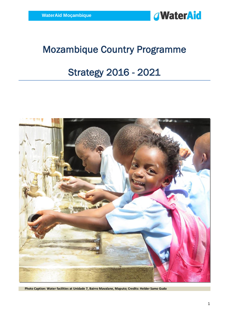

# Mozambique Country Programme

# Strategy 2016 - 2021



 **Photo Caption: Water facilities at Unidade 7, Bairro Mavalane, Maputo; Credits: Helder Samo Gudo**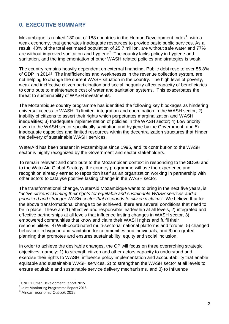# <span id="page-1-0"></span>**0. EXECUTIVE SUMMARY**

Mozambique is ranked 180 out of 188 countries in the Human Development Index<sup>1</sup>, with a weak economy, that generates inadequate resources to provide basic public services. As a result, 48% of the total estimated population of 25.7 million, are without safe water and 77% are without improved sanitation and hygiene<sup>2</sup>. The country lacks policy in hygiene and sanitation, and the implementation of other WASH related policies and strategies is weak.

The country remains heavily dependent on external financing. Public debt rose to over 56.8% of GDP in 20143. The inefficiencies and weaknesses in the revenue collection system, are not helping to change the current WASH situation in the country. The high level of poverty, weak and ineffective citizen participation and social inequality affect capacity of beneficiaries to contribute to maintenance cost of water and sanitation systems. This exacerbates the threat to sustainability of WASH investments.

The Mozambique country programme has identified the following key blockages as hindering universal access to WASH: 1) limited integration and coordination in the WASH sector; 2) inability of citizens to assert their rights which perpetuates marginalization and WASH inequalities; 3) Inadequate implementation of policies in the WASH sector; 4) Low priority given to the WASH sector specifically sanitation and hygiene by the Government; and 5) inadequate capacities and limited resources within the decentralization structures that hinder the delivery of sustainable WASH services.

WaterAid has been present in Mozambique since 1995, and its contribution to the WASH sector is highly recognized by the Government and sector stakeholders.

To remain relevant and contribute to the Mozambican context in responding to the SDG6 and to the WaterAid Global Strategy, the country programme will use the experience and recognition already earned to reposition itself as an organization working in partnership with other actors to catalyse positive lasting change in the WASH sector.

The transformational change, WaterAid Mozambique wants to bring in the next five years, is "*active citizens claiming their rights for equitable and sustainable WASH services and a prioritized and stronger WASH sector that responds to citizen's claims*". We believe that for the above transformational change to be achieved, there are several conditions that need to be in place. These are:1) effective and responsible leadership at all levels, 2) integrated and effective partnerships at all levels that influence lasting changes in WASH sector, 3) empowered communities that know and claim their WASH rights and fulfil their responsibilities, 4) Well-coordinated multi-sectorial national platforms and forums, 5) changed behaviour in hygiene and sanitation for communities and individuals, and 6) integrated planning that promotes and ensures sustainability, equity and social inclusion.

In order to achieve the desirable changes, the CP will focus on three overarching strategic objectives, namely: 1) to strength citizen and other actors capacity to understand and exercise their rights to WASH, influence policy implementation and accountability that enable equitable and sustainable WASH services, 2) to strengthen the WASH sector at all levels to ensure equitable and sustainable service delivery mechanisms, and 3) to Influence

l

<sup>&</sup>lt;sup>1</sup> UNDP Human Development Report 2015

<sup>&</sup>lt;sup>2</sup> Joint Monitoring Programme Report 2015

<sup>3</sup> African Economic Outlook 2015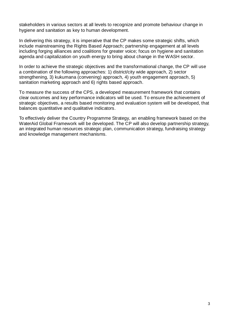stakeholders in various sectors at all levels to recognize and promote behaviour change in hygiene and sanitation as key to human development.

In delivering this strategy, it is imperative that the CP makes some strategic shifts, which include mainstreaming the Rights Based Approach; partnership engagement at all levels including forging alliances and coalitions for greater voice; focus on hygiene and sanitation agenda and capitalization on youth energy to bring about change in the WASH sector.

In order to achieve the strategic objectives and the transformational change, the CP will use a combination of the following approaches: 1) district/city wide approach, 2) sector strengthening, 3) kukumana (convening) approach, 4) youth engagement approach, 5) sanitation marketing approach and 6) rights based approach.

To measure the success of the CPS, a developed measurement framework that contains clear outcomes and key performance indicators will be used. To ensure the achievement of strategic objectives, a results based monitoring and evaluation system will be developed, that balances quantitative and qualitative indicators.

To effectively deliver the Country Programme Strategy, an enabling framework based on the WaterAid Global Framework will be developed. The CP will also develop partnership strategy, an integrated human resources strategic plan, communication strategy, fundraising strategy and knowledge management mechanisms.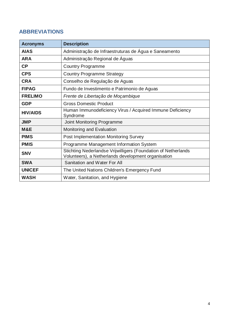# <span id="page-3-0"></span>**ABBREVIATIONS**

| <b>Acronyms</b> | <b>Description</b>                                                                                                    |  |  |  |
|-----------------|-----------------------------------------------------------------------------------------------------------------------|--|--|--|
| <b>AIAS</b>     | Administração de Infraestruturas de Água e Saneamento                                                                 |  |  |  |
| <b>ARA</b>      | Administração Regional de Águas                                                                                       |  |  |  |
| CP              | <b>Country Programme</b>                                                                                              |  |  |  |
| <b>CPS</b>      | <b>Country Programme Strategy</b>                                                                                     |  |  |  |
| <b>CRA</b>      | Conselho de Regulação de Aguas                                                                                        |  |  |  |
| <b>FIPAG</b>    | Fundo de Investimento e Patrimonio de Aguas                                                                           |  |  |  |
| <b>FRELIMO</b>  | Frente de Libertação de Moçambique                                                                                    |  |  |  |
| <b>GDP</b>      | <b>Gross Domestic Product</b>                                                                                         |  |  |  |
| <b>HIV/AIDS</b> | Human Immunodeficiency Virus / Acquired Immune Deficiency<br>Syndrome                                                 |  |  |  |
| <b>JMP</b>      | Joint Monitoring Programme                                                                                            |  |  |  |
| M&E             | Monitoring and Evaluation                                                                                             |  |  |  |
| <b>PIMS</b>     | <b>Post Implementation Monitoring Survey</b>                                                                          |  |  |  |
| <b>PMIS</b>     | Programme Management Information System                                                                               |  |  |  |
| <b>SNV</b>      | Stichting Nederlandse Vrijwilligers (Foundation of Netherlands<br>Volunteers), a Netherlands development organisation |  |  |  |
| <b>SWA</b>      | Sanitation and Water For All                                                                                          |  |  |  |
| <b>UNICEF</b>   | The United Nations Children's Emergency Fund                                                                          |  |  |  |
| <b>WASH</b>     | Water, Sanitation, and Hygiene                                                                                        |  |  |  |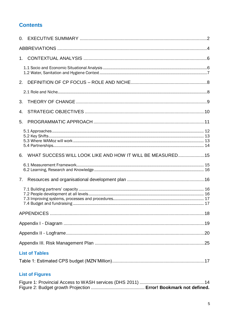# **Contents**

| 3. |                                                                                          |  |
|----|------------------------------------------------------------------------------------------|--|
| 4. |                                                                                          |  |
| 5. |                                                                                          |  |
|    |                                                                                          |  |
|    | 6. WHAT SUCCESS WILL LOOK LIKE AND HOW IT WILL BE MEASURED15                             |  |
|    |                                                                                          |  |
| 7. |                                                                                          |  |
|    |                                                                                          |  |
|    |                                                                                          |  |
|    |                                                                                          |  |
|    |                                                                                          |  |
|    |                                                                                          |  |
|    | <b>List of Tables</b>                                                                    |  |
|    |                                                                                          |  |
|    | <b>List of Figures</b>                                                                   |  |
|    | $\frac{14}{10}$ $\frac{1111011}{100}$ $\frac{1}{100}$ $\frac{1}{100}$ $\frac{0011}{100}$ |  |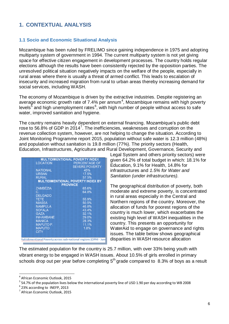# <span id="page-5-0"></span>**1. CONTEXTUAL ANALYSIS**

#### <span id="page-5-1"></span>**1.1 Socio and Economic Situational Analysis**

Mozambique has been ruled by FRELIMO since gaining independence in 1975 and adopting multiparty system of government in 1994. The current multiparty system is not yet giving space for effective citizen engagement in development processes. The country holds regular elections although the results have been consistently rejected by the opposition parties. The unresolved political situation negatively impacts on the welfare of the people, especially in rural areas where there is usually a threat of armed conflict. This leads to escalation of insecurity and increased migration from rural to urban areas thereby increasing demand for social services, including WASH.

The economy of Mozambique is driven by the extractive industries. Despite registering an average economic growth rate of 7.4% per annum<sup>4</sup>, Mozambique remains with high poverty levels $^5$  and high unemployment rates $^6$ , with high number of people without access to safe water, improved sanitation and hygiene.

The country remains heavily dependent on external financing. Mozambique's public debt rose to 56.8% of GDP in 2014<sup>7</sup>. The inefficiencies, weaknesses and corruption on the revenue collection system, however, are not helping to change the situation. According to Joint Monitoring Programme report 2015, population without safe water is 12.3 million (48%) and population without sanitation is 19.8 million (77%). The priority sectors (Health, Education, Infrastructures, Agriculture and Rural Development, Governance, Security and

|                  | <b>SEVERE POVERTY</b>                    |
|------------------|------------------------------------------|
| <b>NATIONAL</b>  | 45%                                      |
| <b>URBAN</b>     | 17.5%                                    |
| <b>RURAL</b>     | 57.5%                                    |
|                  | <b>MULTIDIMENTIONAL POVERTY INDEX BY</b> |
|                  |                                          |
|                  | <b>PROVINCE</b>                          |
| <b>ZAMBEZIA</b>  | 65.6%                                    |
| С.               | 64.8%                                    |
| <b>DELGADO</b>   |                                          |
| 不安下宫             | 55.9%                                    |
| <b>NIASSA</b>    | 50.5%                                    |
| <b>NAMPULA</b>   | 46.8%                                    |
| <b>SOFALA</b>    | 43.4%                                    |
| GAZA             | 32.1%                                    |
| <b>INHAMBANE</b> | 29.0%                                    |
| <b>MANICA</b>    | 28.3%                                    |
| <b>MAPUTO P.</b> | 11.1%                                    |
| <b>MAPUTO</b>    | 1.8%                                     |
| <b>CITY</b>      |                                          |

Legal System and others priority sectors) were given 64.2% of total budget in which: 18.1% for Education, 9.1% for Health, 14.8% for infrastructures and *1.5% for Water and Sanitation (under infrastructures).*

The geographical distribution of poverty, both moderate and extreme poverty, is concentrated in rural areas especially in the Central and Northern regions of the country. Moreover, the allocation of funds for poorest regions of the country is much lower, which exacerbates the existing high level of WASH inequalities in the country. This presents an opportunity for WaterAid to engage on governance and rights issues. The table below shows geographical disparities in WASH resource allocation

The estimated population for the country is 25.7 million, with over 33% being youth with vibrant energy to be engaged in WASH issues. About 10.5% of girls enrolled in primary schools drop out per year before completing  $5<sup>th</sup>$  grade compared to 8.3% of boys as a result

l

<sup>4</sup> African Economic Outlook, 2015

<sup>&</sup>lt;sup>5</sup> 54.7% of the population lives below the international poverty line of USD 1.90 per day according to WB 2008

<sup>6</sup> 23% according to INEFP, 2013

<sup>&</sup>lt;sup>7</sup> African Economic Outlook, 2015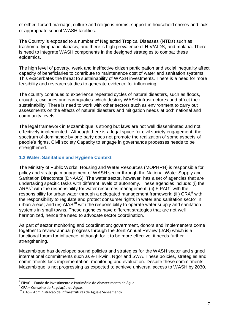of either forced marriage, culture and religious norms, support in household chores and lack of appropriate school WASH facilities.

The Country is exposed to a number of Neglected Tropical Diseases (NTDs) such as trachoma, lymphatic filariasis, and there is high prevalence of HIV/AIDS, and malaria. There is need to integrate WASH components in the designed strategies to combat these epidemics.

The high level of poverty, weak and ineffective citizen participation and social inequality affect capacity of beneficiaries to contribute to maintenance cost of water and sanitation systems. This exacerbates the threat to sustainability of WASH investments. There is a need for more feasibility and research studies to generate evidence for influencing.

The country continues to experience repeated cycles of natural disasters, such as floods, droughts, cyclones and earthquakes which destroy WASH infrastructures and affect their sustainability. There is need to work with other sectors such as environment to carry out assessments on the effects of natural disasters and mitigation needs at both national and community levels.

The legal framework in Mozambique is strong but laws are not well disseminated and not effectively implemented. Although there is a legal space for civil society engagement, the spectrum of dominance by one party does not promote the realization of some aspects of people's rights. Civil society Capacity to engage in governance processes needs to be strengthened.

#### <span id="page-6-0"></span>**1.2 Water, Sanitation and Hygiene Context**

The Ministry of Public Works, Housing and Water Resources (MOPHRH) is responsible for policy and strategic management of WASH sector through the National Water Supply and Sanitation Directorate (DNAAS). The water sector, however, has a set of agencies that are undertaking specific tasks with different levels of autonomy. These agencies include: (i) the ARAs<sup>5</sup> with the responsibility for water resources management; (ii) FIPAG<sup>8</sup> with the responsibility for urban water through a delegated management framework; (iii) CRA<sup>9</sup> with the responsibility to regulate and protect consumer rights in water and sanitation sector in urban areas; and (iv)  $A I A S^{10}$  with the responsibility to operate water supply and sanitation systems in small towns. These agencies have different strategies that are not well harmonized, hence the need to advocate sector coordination.

As part of sector monitoring and coordination; government, donors and implementers come together to review annual progress through the Joint Annual Review (JAR) which is a functional forum for influence, although for it to be more effective, it needs further strengthening.

Mozambique has developed sound policies and strategies for the WASH sector and signed international commitments such as e-Tikwini, Ngor and SWA. These policies, strategies and commitments lack implementation, monitoring and evaluation. Despite these commitments, Mozambique is not progressing as expected to achieve universal access to WASH by 2030.

 8 FIPAG – Fundo de Investimento e Património de Abastecimento de Água

<sup>&</sup>lt;sup>9</sup> CRA – Conselho de Regulação de Aguas

 $10$  AIAS – Administração de Infraestruturas de Agua e Saneamento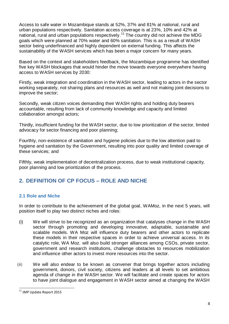Access to safe water in Mozambique stands at 52%, 37% and 81% at national, rural and urban populations respectively. Sanitation access coverage is at 23%, 10% and 42% at national, rural and urban populations respectively.<sup>11</sup> The country did not achieve the MDG goals which were planned at 70% water and 60% sanitation. This is as a result of WASH sector being underfinanced and highly dependent on external funding. This affects the sustainability of the WASH services which has been a major concern for many years.

Based on the context and stakeholders feedback, the Mozambique programme has identified five key WASH blockages that would hinder the move towards everyone everywhere having access to WASH services by 2030:

Firstly, weak integration and coordination in the WASH sector, leading to actors in the sector working separately, not sharing plans and resources as well and not making joint decisions to improve the sector;

Secondly, weak citizen voices demanding their WASH rights and holding duty bearers accountable, resulting from lack of community knowledge and capacity and limited collaboration amongst actors;

Thirdly, insufficient funding for the WASH sector, due to low prioritization of the sector, limited advocacy for sector financing and poor planning;

Fourthly, non-existence of sanitation and hygiene policies due to the low attention paid to hygiene and sanitation by the Government, resulting into poor quality and limited coverage of these services; and

Fifthly, weak implementation of decentralization process, due to weak institutional capacity, poor planning and low prioritization of the process.

# <span id="page-7-0"></span>**2. DEFINITION OF CP FOCUS – ROLE AND NICHE**

#### <span id="page-7-1"></span>**2.1 Role and Niche**

In order to contribute to the achievement of the global goal, WAMoz, in the next 5 years, will position itself to play two distinct niches and roles:

- (i) We will strive to be recognized as an organization that catalyses change in the WASH sector through promoting and developing innovative, adaptable, sustainable and scalable models. WA Moz will influence duty bearers and other actors to replicate these models in their respective spaces in order to achieve universal access. In its catalytic role, WA Moz. will also build stronger alliances among CSOs, private sector, government and research institutions, challenge obstacles to resources mobilization and influence other actors to invest more resources into the sector.
- (ii) We will also endear to be known as convener that brings together actors including government, donors, civil society, citizens and leaders at all levels to set ambitious agenda of change in the WASH sector. We will facilitate and create spaces for actors to have joint dialogue and engagement in WASH sector aimed at changing the WASH

l

<sup>&</sup>lt;sup>11</sup> JMP Update Report 2015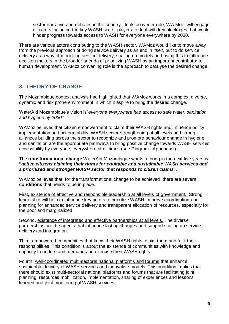sector narrative and debates in the country. In its convener role, WA Moz. will engage all actors including the key WASH sector players to deal with key blockages that would hinder progress towards access to WASH for everyone everywhere by 2030.

There are various actors contributing to the WASH sector. WAMoz would like to move away from the previous approach of doing service delivery as an end in itself, but to do service delivery as a way of modelling service delivery, scaling up models and using this to influence decision makers in the broader agenda of prioritizing WASH as an important contributor to human development. WAMoz convening role is the approach to catalyse the desired change.

# <span id="page-8-0"></span>**3. THEORY OF CHANGE**

The Mozambique context analysis had highlighted that WAMoz works in a complex, diverse, dynamic and risk prone environment in which it aspire to bring the desired change.

WaterAid Mozambique's vision is"*everyone everywhere has access to safe water, sanitation and hygiene by 2030".* 

WAMoz believes that citizen empowerment to claim their WASH rights and influence policy implementation and accountability, WASH sector strengthening at all levels and strong alliances building across the sector to recognize and promote behaviour change in hygiene and sanitation are the appropriate pathways to bring positive change towards WASH services accessibility by everyone, everywhere at all times (see Diagram –Appendix I).

The **transformational change** WaterAid Mozambique wants to bring in the next five years is **"***active citizens claiming their rights for equitable and sustainable WASH services and a prioritized and stronger WASH sector that responds to citizen claims".* 

WAMoz believes that, for the transformational change to be achieved, there are several **conditions** that needs to be in place.

First**,** existence of effective and responsible leadership at all levels of government. Strong leadership will help to influence key actors to prioritize WASH, improve coordination and planning for enhanced service delivery and transparent allocation of resources, especially for the poor and marginalized.

Second**,** existence of integrated and effective partnerships at all levels. The diverse partnerships are the agents that influence lasting changes and support scaling up service delivery and integration.

Third, empowered communities that know their WASH rights, claim them and fulfil their responsibilities. This condition is about the existence of communities with knowledge and capacity to understand, demand and exercise their WASH rights.

Fourth, well-coordinated multi-sectoral national platforms and forums that enhance sustainable delivery of WASH services and innovative models. This condition implies that there should exist multi-sectoral national platforms and forums that are facilitating joint planning, resources mobilization, implementation, sharing of experiences and lessons learned and joint monitoring of WASH services.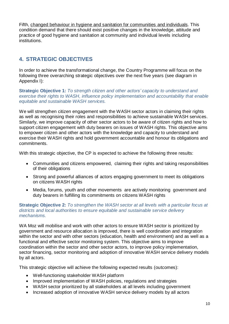Fifth, changed behaviour in hygiene and sanitation for communities and individuals. This condition demand that there should exist positive changes in the knowledge, attitude and practice of good hygiene and sanitation at community and individual levels including institutions.

# <span id="page-9-0"></span>**4. STRATEGIC OBJECTIVES**

In order to achieve the transformational change, the Country Programme will focus on the following three overarching strategic objectives over the next five years (see diagram in Appendix I):

**Strategic Objective 1:** *To strength citizen and other actors' capacity to understand and exercise their rights to WASH, influence policy implementation and accountability that enable equitable and sustainable WASH services.*

We will strengthen citizen engagement with the WASH sector actors in claiming their rights as well as recognising their roles and responsibilities to achieve sustainable WASH services. Similarly, we improve capacity of other sector actors to be aware of citizen rights and how to support citizen engagement with duty bearers on issues of WASH rights. This objective aims to empower citizen and other actors with the knowledge and capacity to understand and exercise their WASH rights and hold government accountable and honour its obligations and commitments.

With this strategic objective, the CP is expected to achieve the following three results:

- Communities and citizens empowered, claiming their rights and taking responsibilities of their obligations
- Strong and powerful alliances of actors engaging government to meet its obligations on citizens WASH rights
- Media, forums, youth and other movements are actively monitoring government and duty bearers in fulfilling its commitments on citizens WASH rights

#### **Strategic Objective 2:** *To strengthen the WASH sector at all levels with a particular focus at districts and local authorities to ensure equitable and sustainable service delivery mechanisms.*

WA Moz will mobilise and work with other actors to ensure WASH sector is prioritized by government and resource allocation is improved, there is well coordination and integration within the sector and with other sectors (education, health and environment) and as well as a functional and effective sector monitoring system. This objective aims to improve coordination within the sector and other sector actors, to improve policy implementation, sector financing, sector monitoring and adoption of innovative WASH service delivery models by all actors.

This strategic objective will achieve the following expected results (outcomes):

- Well-functioning stakeholder WASH platform
- Improved implementation of WASH policies, regulations and strategies
- WASH sector prioritized by all stakeholders at all levels including government
- Increased adoption of innovative WASH service delivery models by all actors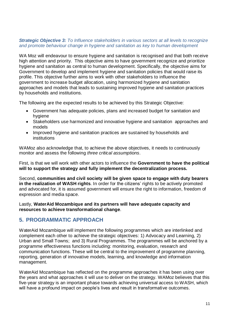#### *Strategic Objective 3: To Influence stakeholders in various sectors at all levels to recognize and promote behaviour change in hygiene and sanitation as key to human development*

WA Moz will endeavour to ensure hygiene and sanitation is recognised and that both receive high attention and priority. This objective aims to have government recognize and prioritize hygiene and sanitation as central to human development. Specifically, the objective aims for Government to develop and implement hygiene and sanitation policies that would raise its profile. This objective further aims to work with other stakeholders to influence the government to increase budget allocation, using harmonized hygiene and sanitation approaches and models that leads to sustaining improved hygiene and sanitation practices by households and institutions.

The following are the expected results to be achieved by this Strategic Objective:

- Government has adequate policies, plans and increased budget for sanitation and hygiene
- Stakeholders use harmonized and innovative hygiene and sanitation approaches and models
- Improved hygiene and sanitation practices are sustained by households and institutions

WAMoz also acknowledge that, to achieve the above objectives, it needs to continuously monitor and assess the following *three critical assumptions*.

First, is that we will work with other actors to influence the **Government to have the political will to support the strategy and fully implement the decentralization process.**

Second, **communities and civil society will be given space to engage with duty bearers in the realization of WASH rights**. In order for the citizens' rights to be actively promoted and advocated for, it is assumed government will ensure the right to information, freedom of expression and media space.

Lastly, **WaterAid Mozambique and its partners will have adequate capacity and resources to achieve transformational change**.

#### <span id="page-10-0"></span>**5. PROGRAMMATIC APPROACH**

WaterAid Mozambique will implement the following programmes which are interlinked and complement each other to achieve the strategic objectives: 1) Advocacy and Learning, 2) Urban and Small Towns; and 3) Rural Programmes. The programmes will be anchored by a programme effectiveness functions including: monitoring, evaluation, research and communication functions. These will be central to the improvement of programme planning, reporting, generation of innovative models, learning, and knowledge and information management.

WaterAid Mozambique has reflected on the programme approaches it has been using over the years and what approaches it will use to deliver on the strategy. WAMoz believes that this five-year strategy is an important phase towards achieving universal access to WASH, which will have a profound impact on people's lives and result in transformative outcomes.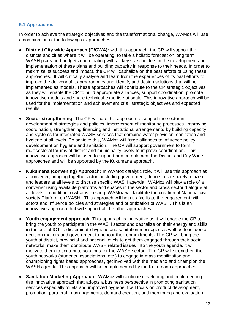#### <span id="page-11-0"></span>**5.1 Approaches**

In order to achieve the strategic objectives and the transformational change, WAMoz will use a combination of the following of approaches:

- **District/ City wide Approach (D/CWA):** with this approach, the CP will support the districts and cities where it will be operating, to take a holistic forecast on long term WASH plans and budgets coordinating with all key stakeholders in the development and implementation of these plans and building capacity in response to their needs. In order to maximize its success and impact, the CP will capitalize on the past efforts of using these approaches. It will critically analyse and learn from the experiences of its past efforts to improve the delivery of its programmes and identify and design solutions that will be implemented as models. These approaches will contribute to the CP strategic objectives as they will enable the CP to build appropriate alliances, support coordination, promote innovative models and share technical expertise at scale. This innovative approach will be used for the implementation and achievement of all strategic objectives and expected results
- **Sector strengthening:** The CP will use this approach to support the sector in development of strategies and policies, improvement of monitoring processes, improving coordination, strengthening financing and institutional arrangements by building capacity and systems for integrated WASH services that combine water provision, sanitation and hygiene at all levels. To achieve this, WAMoz will forge alliances to influence policy development on hygiene and sanitation. The CP will support government to form multisectoral forums at district and municipality levels to improve coordination. This innovative approach will be used to support and complement the District and City Wide approaches and will be supported by the Kukumana approach.
- **Kukumana (convening) Approach:** In WAMoz catalytic role, it will use this approach as a convener, bringing together actors including government, donors, civil society, citizen and leaders at all levels to discuss specific WASH agenda**.** WAMoz will play a role of a convener using available platforms and spaces in the sector and cross sector dialogue at all levels. In addition to what is existing, WAMoz will facilitate the creation of National civil society Platform on WASH. This approach will help us facilitate the engagement with actors and influence policies and strategies and prioritization of WASH. This is an innovative approach that will support all the other approaches.
- **Youth engagement approach:** This approach is innovative as it will enable the CP to bring the youth to participate in the WASH sector and capitalize on their energy and skills i**n** the use of ICT to disseminate hygiene and sanitation messages as well as to influence decision makers and government to honour their commitments**.** The CP will bring the youth at district, provincial and national levels to get them engaged through their social networks, make them contribute WASH related issues into the youth agenda. it will motivate them to contribute solutions for the WASH sector. The CP will strengthen the youth networks (students, associations, etc.) to engage in mass mobilization and championing rights based approaches, get involved with the media to and champion the WASH agenda. This approach will be complemented by the Kukumana approaches
- **Sanitation Marketing Approach:** WAMoz will continue developing and implementing this innovative approach that adopts a business perspective in promoting sanitation services especially toilets and improved hygiene.it will focus on product development, promotion, partnership arrangements, demand creation, and monitoring and evaluation.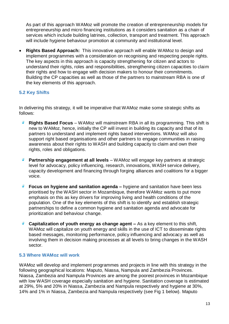As part of this approach WAMoz will promote the creation of entrepreneurship models for entrepreneurship and micro financing institutions as it considers sanitation as a chain of services which include building latrines, collection, transport and treatment. This approach will include hygiene behaviour promotion at community and institutional level.

 **Rights Based Approach:** This innovative approach will enable WAMoz to design and implement programmes with a consideration on recognising and respecting people rights. The key aspects in this approach is capacity strengthening for citizen and actors to understand their rights, roles and responsibilities, strengthening citizen capacities to claim their rights and how to engage with decision makers to honour their commitments. Building the CP capacities as well as those of the partners to mainstream RBA is one of the key elements of this approach.

#### <span id="page-12-0"></span>**5.2 Key Shifts**

In delivering this strategy, it will be imperative that WAMoz make some strategic shifts as follows:

- $\overline{a}$ **Rights Based Focus** – WAMoz will mainstream RBA in all its programming. This shift is new to WAMoz, hence, initially the CP will invest in building its capacity and that of its partners to understand and implement rights based interventions. WAMoz will also support right based organisations and other partners to engage communities in raising awareness about their rights to WASH and building capacity to claim and own their rights, roles and obligations.
- **Partnership engagement at all levels** WAMoz will engage key partners at strategic level for advocacy, policy influencing, research, innovations, WASH service delivery, capacity development and financing through forging alliances and coalitions for a bigger voice.
- **Focus on hygiene and sanitation agenda –** hygiene and sanitation have been less prioritised by the WASH sector in Mozambique, therefore WAMoz wants to put more emphasis on this as key drivers for improving living and health conditions of the population. One of the key elements of this shift is to identify and establish strategic partnerships to define a common hygiene and sanitation agenda and advocate for prioritization and behaviour change.
- **Capitalization of youth energy as change agent –** As a key element to this shift, WAMoz will capitalize on youth energy and skills in the use of ICT to disseminate rights based messages, monitoring performance, policy influencing and advocacy as well as involving them in decision making processes at all levels to bring changes in the WASH sector.

#### <span id="page-12-1"></span>**5.3 Where WAMoz will work**

WAMoz will develop and implement programmes and projects in line with this strategy in the following geographical locations: Maputo, Niassa, Nampula and Zambezia Provinces. Niassa, Zambezia and Nampula Provinces are among the poorest provinces in Mozambique with low WASH coverage especially sanitation and hygiene. Sanitation coverage is estimated at 29%, 5% and 20% in Niassa, Zambezia and Nampula respectively and hygiene at 30%, 14% and 1% in Niassa, Zambezia and Nampula respectively (see Fig 1 below). Maputo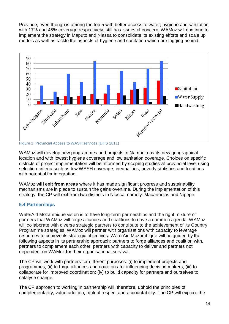Province, even though is among the top 5 with better access to water, hygiene and sanitation with 17% and 46% coverage respectively, still has issues of concern. WAMoz will continue to implement the strategy in Maputo and Niassa to consolidate its existing efforts and scale up models as well as tackle the aspects of hygiene and sanitation which are lagging behind.



<span id="page-13-1"></span>Figure 1: Provincial Access to WASH services (DHS 2011)

WAMoz will develop new programmes and projects in Nampula as its new geographical location and with lowest hygiene coverage and low sanitation coverage. Choices on specific districts of project implementation will be informed by scoping studies at provincial level using selection criteria such as low WASH coverage, inequalities, poverty statistics and locations with potential for integration.

WAMoz **will exit from areas** where it has made significant progress and sustainability mechanisms are in place to sustain the gains overtime. During the implementation of this strategy, the CP will exit from two districts in Niassa; namely: Macanhelas and Nipepe.

#### <span id="page-13-0"></span>**5.4 Partnerships**

WaterAid Mozambique vision is to have long-term partnerships and the right mixture of partners that WAMoz will forge alliances and coalitions to drive a common agenda. WAMoz will collaborate with diverse strategic partners to contribute to the achievement of its Country Programme strategies. WAMoz will partner with organisations with capacity to leverage resources to achieve its strategic objectives. WaterAid Mozambique will be guided by the following aspects in its partnership approach: partners to forge alliances and coalition with, partners to complement each other, partners with capacity to deliver and partners not dependent on WAMoz for their organisational survival.

The CP will work with partners for different purposes: (i) to implement projects and programmes; (ii) to forge alliances and coalitions for influencing decision makers; (iii) to collaborate for improved coordination; (iv) to build capacity for partners and ourselves to catalyse change.

The CP approach to working in partnership will, therefore, uphold the principles of complementarity, value addition, mutual respect and accountability. The CP will explore the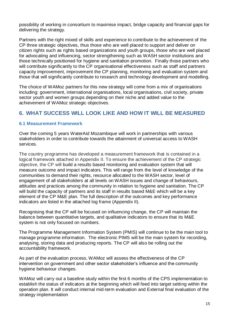possibility of working in consortium to maximise impact, bridge capacity and financial gaps for delivering the strategy.

Partners with the right mixed of skills and experience to contribute to the achievement of the CP three strategic objectives, thus those who are well placed to support and deliver on citizen rights such as rights based organizations and youth groups, those who are well placed for advocating and influencing, sector strengthening such as WASH sector institutions and those technically positioned for hygiene and sanitation promotion. Finally those partners who will contribute significantly to the CP organisational effectiveness such as staff and partners capacity improvement, improvement the CP planning, monitoring and evaluation system and those that will significantly contribute to research and technology development and modelling.

The choice of WAMoz partners for this new strategy will come from a mix of organisations including: government, international organisations, local organisations, civil society, private sector youth and women groups depending on their niche and added value to the achievement of WAMoz strategic objectives.

## <span id="page-14-0"></span>**6. WHAT SUCCESS WILL LOOK LIKE AND HOW IT WILL BE MEASURED**

#### <span id="page-14-1"></span>**6.1 Measurement Framework**

Over the coming 5 years WaterAid Mozambique will work in partnerships with various stakeholders in order to contribute towards the attainment of universal access to WASH services.

The country programme has developed a measurement framework that is contained in a logical framework attached in Appendix II. To ensure the achievement of the CP strategic objective, the CP will build a results based monitoring and evaluation system that will measure outcome and impact indicators. This will range from the level of knowledge of the communities to demand their rights, resource allocated to the WASH sector, level of engagement of all stakeholders at all levels on WASH issues and change of behaviours, attitudes and practices among the community in relation to hygiene and sanitation. The CP will build the capacity of partners and its staff in results based M&E which will be a key element of the CP M&E plan. The full description of the outcomes and key performance indicators are listed in the attached log frame (Appendix II).

Recognising that the CP will be focused on influencing change, the CP will maintain the balance between quantitative targets, and qualitative indicators to ensure that its M&E system is not only focused on numbers.

The Programme Management Information System (PMIS) will continue to be the main tool to manage programme information. The electronic PIMS will be the main system for recording, analysing, storing data and producing reports. The CP will also be rolling out the accountability framework.

As part of the evaluation process, WAMoz will assess the effectiveness of the CP intervention on government and other sector stakeholder's influence and the community hygiene behaviour changes.

WAMoz will carry out a baseline study within the first 6 months of the CPS implementation to establish the status of indicators at the beginning which will feed into target setting within the operation plan. It will conduct internal mid-term evaluation and External final evaluation of the strategy implementation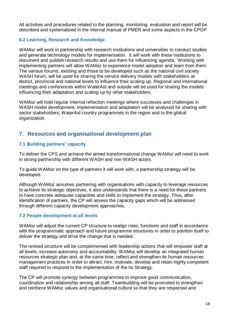All activities and procedures related to the planning, monitoring, evaluation and report will be described and systematized in the internal manual of PMER and some aspects in the CPOP

#### <span id="page-15-0"></span>**6.2 Learning, Research and Knowledge**

WAMoz will work in partnership with research institutions and universities to conduct studies and generate technology models for implementation. It will work with these institutions to document and publish research results and use them for influencing agenda. Working with implementing partners will allow WAMoz to experience model adoption and learn from them. The various forums, existing and those to be developed such as the national civil society WASH forum, will be used for sharing the service delivery models with stakeholders at district, provincial and national levels to influence their scaling up. Regional and international meetings and conferences within WaterAid and outside will be used for sharing the models influencing their adaptation and scaling up by other stakeholders.

WAMoz will hold regular internal reflection meetings where successes and challenges in WASH model development, implementation and adaptation will be analysed for sharing with sector stakeholders; WaterAid country programmes in the region and to the global organization.

## <span id="page-15-1"></span>**7. Resources and organisational development plan**

#### <span id="page-15-2"></span>**7.1 Building partners' capacity**

To deliver the CPS and achieve the aimed transformational change WAMoz will need to work in strong partnership with different WASH and non-WASH actors.

To guide WAMoz on the type of partners it will work with, a partnership strategy will be developed.

Although WAMoz assumes partnering with organisations with capacity to leverage resources to achieve its strategic objectives, it also understands that there is a need for these partners to have concrete adequate capacities and skills to implement the strategy. Thus, after identification of partners, the CP will assess the capacity gaps which will be addressed through different capacity development approaches.

#### <span id="page-15-3"></span>**7.2 People development at all levels**

WAMoz will adjust the current CP structure to realign roles, functions and staff in accordance with the programmatic approach and future programme structures in order to position itself to deliver the strategy and drive the change that is needed.

The revised structure will be complemented with leadership actions that will empower staff at all levels, increase autonomy and accountability. WAMoz will develop an integrated human resources strategic plan and, at the same time, reflect and strengthen its human resources management practices in order to attract, hire, motivate, develop and retain highly competent staff required to respond to the implementation of the its Strategy.

The CP will promote synergy between programmes to improve good communication, coordination and relationship among all staff. Teambuilding will be promoted to strengthen and reinforce WAMoz values and organisational culture so that they are respected and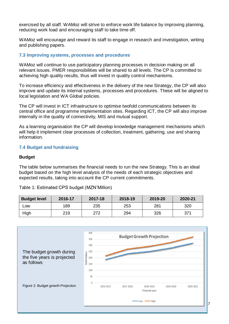exercised by all staff. WAMoz will strive to enforce work life balance by improving planning, reducing work load and encouraging staff to take time off.

WAMoz will encourage and reward its staff to engage in research and investigation, writing and publishing papers.

#### <span id="page-16-0"></span>**7.3 Improving systems, processes and procedures**

WAMoz will continue to use participatory planning processes in decision making on all relevant issues. PMER responsibilities will be shared to all levels. The CP is committed to achieving high quality results, thus will invest in quality control mechanisms.

To increase efficiency and effectiveness in the delivery of the new Strategy, the CP will also improve and update its internal systems, processes and procedures. These will be aligned to local legislation and WA Global policies.

The CP will invest in ICT infrastructure to optimise twofold communications between its central office and programme implementation sites. Regarding ICT, the CP will also improve internally in the quality of connectivity, MIS and mutual support.

As a learning organisation the CP will develop knowledge management mechanisms which will help it implement clear processes of collection, treatment, gathering, use and sharing information.

#### <span id="page-16-1"></span>**7.4 Budget and fundraising**

#### **Budget**

The table below summarises the financial needs to run the new Strategy. This is an ideal budget based on the high level analysis of the needs of each strategic objectives and expected results, taking into account the CP current commitments.

<span id="page-16-2"></span>Table 1: Estimated CPS budget (MZN'Million)

| <b>Budget level</b> | 2016-17 | 2017-18 | 2018-19 | 2019-20 | 2020-21 |
|---------------------|---------|---------|---------|---------|---------|
| _OW                 | 189     | 235     | 253     | 281     | 320     |
| High                | 219     | 272     | 294     | 326     | 371     |

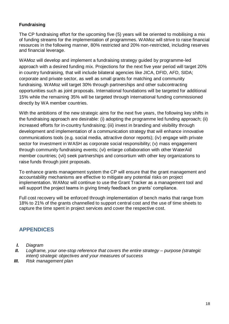#### **Fundraising**

The CP fundraising effort for the upcoming five (5) years will be oriented to mobilising a mix of funding streams for the implementation of programmes. WAMoz will strive to raise financial resources in the following manner, 80% restricted and 20% non-restricted, including reserves and financial leverage.

WAMoz will develop and implement a fundraising strategy guided by programme-led approach with a desired funding mix. Projections for the next five year period will target 20% in country fundraising, that will include bilateral agencies like JICA, DFID, AFD, SIDA; corporate and private sector, as well as small grants for matching and community fundraising. WAMoz will target 30% through partnerships and other subcontracting opportunities such as joint proposals. International foundations will be targeted for additional 15% while the remaining 35% will be targeted through international funding commissioned directly by WA member countries.

With the ambitions of the new strategic aims for the next five years, the following key shifts in the fundraising approach are desirable: (i) adopting the programme led funding approach; (ii) increased efforts for in-country fundraising; (iii) invest in branding and visibility through development and implementation of a communication strategy that will enhance innovative communications tools (e.g. social media, attractive donor reports); (iv) engage with private sector for investment in WASH as corporate social responsibility; (v) mass engagement through community fundraising events; (vi) enlarge collaboration with other WaterAid member countries; (vii) seek partnerships and consortium with other key organizations to raise funds through joint proposals.

To enhance grants management system the CP will ensure that the grant management and accountability mechanisms are effective to mitigate any potential risks on project implementation. WAMoz will continue to use the Grant Tracker as a management tool and will support the project teams in giving timely feedback on grants' compliance.

Full cost recovery will be enforced through implementation of bench marks that range from 18% to 21% of the grants channelled to support central cost and the use of time sheets to capture the time spent in project services and cover the respective cost.

## <span id="page-17-0"></span>**APPENDICES**

- *I. Diagram*
- *II. Logframe, your one-stop reference that covers the entire strategy – purpose (strategic intent) strategic objectives and your measures of success*
- *III. Risk management plan*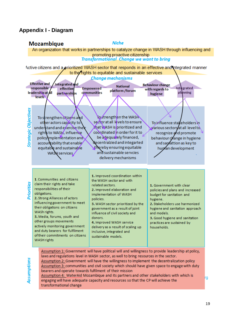## <span id="page-18-0"></span>**Appendix I - Diagram**

### **Mozambique**

**Niche** 

An organization that works in partnerships to catalyze change in WASH through influencing and promoting proactive citizenship **Transformational Change we want to bring** 

Active citizens and a prioritized WASH sector that responds in an effective and integrated manner to the rights to equitable and sustainable services



Assumption 2: Government will have the willingness to implement the decentralization policy Assumption 3: communities and civil society which should have given space to engage with duty bearers and operate towards fulfilment of their mission

Assumption 4: WaterAid Mozambique and its partners and other stakeholders with which is engaging will have adequate capacity and resources so that the CP will achieve the transformational change

rg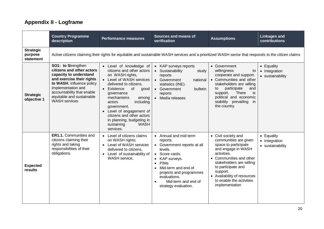# **Appendix II - Logframe**

<span id="page-19-0"></span>

|                                          | <b>Country Programme</b><br>description                                                                                                                                                                                                      | <b>Performance measures</b>                                                                                                                                                                                                                                                                                                                                       | Sources and means of<br>verification                                                                                                                                                                                                                                    | <b>Assumptions</b>                                                                                                                                                                                                                                                              | <b>Linkages and</b><br>contributions            |
|------------------------------------------|----------------------------------------------------------------------------------------------------------------------------------------------------------------------------------------------------------------------------------------------|-------------------------------------------------------------------------------------------------------------------------------------------------------------------------------------------------------------------------------------------------------------------------------------------------------------------------------------------------------------------|-------------------------------------------------------------------------------------------------------------------------------------------------------------------------------------------------------------------------------------------------------------------------|---------------------------------------------------------------------------------------------------------------------------------------------------------------------------------------------------------------------------------------------------------------------------------|-------------------------------------------------|
| <b>Strategic</b><br>purpose<br>statement | Active citizens claiming their rights for equitable and sustainable WASH services and a prioritized WASH sector that responds to the citizen claims                                                                                          |                                                                                                                                                                                                                                                                                                                                                                   |                                                                                                                                                                                                                                                                         |                                                                                                                                                                                                                                                                                 |                                                 |
| <b>Strategic</b><br>objective 1          | SO1: to Strengthen<br>citizens and other actors<br>capacity to understand<br>and exercise their rights<br>to WASH, influence policy<br>implementation and<br>accountability that enable<br>equitable and sustainable<br><b>WASH</b> services | • Level of knowledge of<br>citizens and other actors<br>on WASH rights,<br>Level of WASH services<br>delivered to citizens.<br>of<br>Existence<br>good<br>qovernance<br>mechanisms<br>among<br>including<br>actors<br>government.<br>• Level of engagement of<br>citizens and other actors<br>in planning, budgeting in<br><b>WASH</b><br>sustaining<br>services. | • KAP surveys reports<br>• Sustainability<br>study<br>reports<br>• Government<br>national<br>statistics (INE).<br>• Government<br>bulletin<br>reports<br>Media releases<br>$\bullet$                                                                                    | • Government<br>willingness<br>to<br>cooperate and support.<br>• Communities and other<br>stakeholders are willing<br>participate<br>to<br>and<br>support.<br><b>There</b><br>is<br>political and economic<br>stability prevailing<br>-in<br>the country.                       | • Equality<br>• Integration<br>• sustainability |
| <b>Expected</b><br>results               | ER1.1. Communities and<br>citizens claiming their<br>rights and taking<br>responsibilities of their<br>obligations.                                                                                                                          | • Level of citizens claims<br>on WASH rights;<br>• Level of WASH services<br>delivered to citizens,<br>• Level of sustainability of<br>WASH service,                                                                                                                                                                                                              | • Annual and mid-term<br>reports.<br>• Government reports at all<br>levels.<br>• Score cards.<br>KAP surveys.<br><b>PIMs</b><br>$\bullet$<br>Mid-term and end of<br>projects and programmes<br>evaluations.<br>Mid-term and end of<br>$\bullet$<br>strategy evaluation. | • Civil society and<br>communities are given<br>space to participate<br>and engage in WASH<br>activities.<br>• Communities and other<br>stakeholders are willing<br>to participate and<br>support.<br>• Availability of resources<br>to enable the activities<br>implementation | • Equality<br>• Integration<br>• sustainability |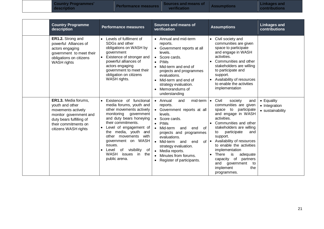**Country Programmes'**   $\begin{array}{|c|c|c|}\hline \text{Country Programmes'} & \text{Performance measures} & \text{Sources and means of} & \text{Assumptions} & \text{Contributions} \\\hline \end{array}$ 

**Linkages and<br>contributions** 

| <b>Country Programme</b><br>description                                                                                                                             | <b>Performance measures</b>                                                                                                                                                                                                                                                                                                                            | <b>Sources and means of</b><br>verification                                                                                                                                                                                                                                                                                                                               | <b>Assumptions</b>                                                                                                                                                                                                                                                                                                                                                                                                                                    | <b>Linkages and</b><br>contributions                    |
|---------------------------------------------------------------------------------------------------------------------------------------------------------------------|--------------------------------------------------------------------------------------------------------------------------------------------------------------------------------------------------------------------------------------------------------------------------------------------------------------------------------------------------------|---------------------------------------------------------------------------------------------------------------------------------------------------------------------------------------------------------------------------------------------------------------------------------------------------------------------------------------------------------------------------|-------------------------------------------------------------------------------------------------------------------------------------------------------------------------------------------------------------------------------------------------------------------------------------------------------------------------------------------------------------------------------------------------------------------------------------------------------|---------------------------------------------------------|
| ER1.2. Strong and<br>powerful Alliances of<br>actors engaging<br>government to meet their<br>obligations on citizens<br><b>WASH</b> rights                          | Levels of fulfilment of<br>SDGs and other<br>obligations on WASH by<br>government<br>Existence of stronger and<br>powerful alliances of<br>actors engaging<br>government to meet their<br>obligation on citizens<br>WASH rights.                                                                                                                       | • Annual and mid-term<br>reports.<br>• Government reports at all<br>levels.<br>Score cards.<br><b>PIM<sub>s</sub></b><br>$\bullet$<br>Mid-term and end of<br>projects and programmes<br>evaluations.<br>• Mid-term and end of<br>strategy evaluation.<br>Memorandums of<br>$\bullet$<br>understanding                                                                     | • Civil society and<br>communities are given<br>space to participate<br>and engage in WASH<br>activities.<br>Communities and other<br>stakeholders are willing<br>to participate and<br>support.<br>Availability of resources<br>$\bullet$<br>to enable the activities<br>implementation                                                                                                                                                              |                                                         |
| ER1.3. Media forums,<br>youth and other<br>movements actively<br>monitor government and<br>duty bears fulfilling of<br>their commitments on<br>citizens WASH rights | Existence of functional<br>media forums, youth and<br>other movements actively<br>monitoring<br>government<br>and duty bears honeying<br>their commitments.<br>Level of engagement of<br>the media, youth<br>and<br>other movements<br>with<br>government on WASH<br>issues.<br>of visibility<br>Level<br>of<br>WASH issues in<br>the<br>public arena. | mid-term<br>• Annual<br>and<br>reports.<br>Government reports at all<br>levels.<br>Score cards.<br>$\bullet$<br><b>PIM<sub>s</sub></b><br>$\bullet$<br>Mid-term<br>and<br>end<br>of<br>projects and programmes<br>evaluations.<br>Mid-term and<br>οf<br>end<br>strategy evaluation.<br>• Media reports.<br>Minutes from forums.<br>Register of participants.<br>$\bullet$ | Civil<br>society<br>$\bullet$<br>and<br>communities are given<br>participate<br>to<br>space<br>and engage in WASH<br>activities.<br>• Communities and other<br>stakeholders are willing<br>participate<br>and<br>to<br>support.<br>Availability of resources<br>$\bullet$<br>to enable the activities<br>implementation<br>is<br>There<br>adequate<br>$\bullet$<br>capacity of partners<br>and<br>government<br>to<br>the<br>implement<br>programmes. | $\bullet$ Equality<br>• Integration<br>• sustainability |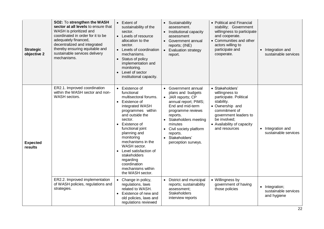| <b>Strategic</b><br>objective 2 | SO2: To strengthen the WASH<br>sector at all levels to ensure that<br>WASH is prioritized and<br>coordinated in order for it to be<br>adequately financed,<br>decentralized and integrated<br>thereby ensuring equitable and<br>sustainable services delivery<br>mechanisms. | Extent of<br>sustainability of the<br>sector.<br>Levels of resource<br>allocation to the<br>sector.<br>• Levels of coordination<br>mechanisms.<br>Status of policy<br>implementation and<br>monitoring.<br>Level of sector<br>institutional capacity.                                                                                                           | Sustainability<br>assessment.<br>Institutional capacity<br>assessment<br>• Government annual<br>reports; (INE)<br>• Evaluation strategy<br>report.                                                                                                                         | • Political and Financial<br>stability; Government<br>willingness to participate<br>and cooperate.<br>• Communities and other<br>actors willing to<br>participate and<br>cooperate.                   | • Integration and<br>sustainable services             |
|---------------------------------|------------------------------------------------------------------------------------------------------------------------------------------------------------------------------------------------------------------------------------------------------------------------------|-----------------------------------------------------------------------------------------------------------------------------------------------------------------------------------------------------------------------------------------------------------------------------------------------------------------------------------------------------------------|----------------------------------------------------------------------------------------------------------------------------------------------------------------------------------------------------------------------------------------------------------------------------|-------------------------------------------------------------------------------------------------------------------------------------------------------------------------------------------------------|-------------------------------------------------------|
| <b>Expected</b><br>results      | ER2.1. Improved coordination<br>within the WASH sector and non-<br>WASH sectors.                                                                                                                                                                                             | Existence of<br>functional<br>multisectoral forums.<br>Existence of<br>integrated WASH<br>programmes within<br>and outside the<br>sector.<br>Existence of<br>functional joint<br>planning and<br>monitoring<br>mechanisms in the<br>WASH sector.<br>Level satisfaction of<br>stakeholders<br>regarding<br>coordination<br>mechanisms within<br>the WASH sector. | • Government annual<br>plans and budgets<br>• JAR reports; CP<br>annual report; PIMS;<br>End and mid-term<br>programme reviews<br>reports.<br>• Stakeholders meeting<br>minutes<br>Civil society platform<br>reports.<br>Stakeholders'<br>$\bullet$<br>perception surveys. | · Stakeholders'<br>willingness to<br>participate. Political<br>stability.<br>• Ownership and<br>commitment of<br>government leaders to<br>be involved;<br>• Availability of capacity<br>and resources | • Integration and<br>sustainable services             |
|                                 | ER2.2. Improved implementation<br>of WASH policies, regulations and<br>strategies.                                                                                                                                                                                           | Change in policy,<br>regulations, laws<br>related to WASH.<br>Existence of new and<br>old policies, laws and<br>regulations reviewed                                                                                                                                                                                                                            | District and municipal<br>$\bullet$<br>reports; sustainability<br>assessment;<br>Stakeholders<br>interview reports                                                                                                                                                         | • Willingness by<br>government of having<br>those policies                                                                                                                                            | · Integration;<br>sustainable services<br>and hygiene |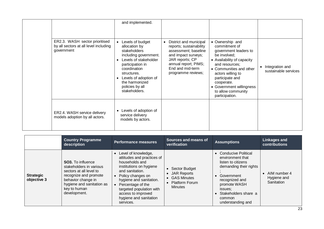|                                                                                       | and implemented.                                                                                                                                                                                                                                                |                                                                                                                                                                                       |                                                                                                                                                                                                                                                                                |                                         |
|---------------------------------------------------------------------------------------|-----------------------------------------------------------------------------------------------------------------------------------------------------------------------------------------------------------------------------------------------------------------|---------------------------------------------------------------------------------------------------------------------------------------------------------------------------------------|--------------------------------------------------------------------------------------------------------------------------------------------------------------------------------------------------------------------------------------------------------------------------------|-----------------------------------------|
| ER2.3. WASH sector prioritised<br>by all sectors at all level including<br>government | Levels of budget<br>allocation by<br>stakeholders<br>including government.<br>Levels of stakeholder<br>$\bullet$<br>participation in<br>coordination<br>structures.<br>Levels of adoption of<br>$\bullet$<br>the harmonized<br>policies by all<br>stakeholders. | District and municipal<br>reports; sustainability<br>assessment; baseline<br>and impact surveys;<br>JAR reports; CP<br>annual report; PIMS;<br>End and mid-term<br>programme reviews; | • Ownership and<br>commitment of<br>government leaders to<br>be involved;<br>• Availability of capacity<br>and resources;<br>• Communities and other<br>actors willing to<br>participate and<br>cooperate.<br>• Government willingness<br>to allow community<br>participation. | Integration and<br>sustainable services |
| ER2.4. WASH service delivery<br>models adoption by all actors.                        | Levels of adoption of<br>$\bullet$<br>service delivery<br>models by actors.                                                                                                                                                                                     |                                                                                                                                                                                       |                                                                                                                                                                                                                                                                                |                                         |

|                                 | <b>Country Programme</b><br>description                                                                                                                                                    | <b>Performance measures</b>                                                                                                                                                                                                                                                                  | Sources and means of<br>verification                                             | <b>Assumptions</b>                                                                                                                                                                                          | <b>Linkages and</b><br>contributions      |
|---------------------------------|--------------------------------------------------------------------------------------------------------------------------------------------------------------------------------------------|----------------------------------------------------------------------------------------------------------------------------------------------------------------------------------------------------------------------------------------------------------------------------------------------|----------------------------------------------------------------------------------|-------------------------------------------------------------------------------------------------------------------------------------------------------------------------------------------------------------|-------------------------------------------|
| <b>Strategic</b><br>objective 3 | <b>SO3.</b> To influence<br>stakeholders in various<br>sectors at all level to<br>recognize and promote<br>behavior change in<br>hygiene and sanitation as<br>key to human<br>development. | Level of knowledge,<br>$\bullet$<br>attitudes and practices of<br>households and<br>institutions on hygiene<br>and sanitation.<br>Policy changes on<br>hygiene and sanitation.<br>Percentage of the<br>targeted population with<br>access to improved<br>hygiene and sanitation<br>services. | • Sector Budget<br>• JAR Reports<br>• GAS Minutes<br>• Platform Forum<br>Minutes | • Conducive Political<br>environment that<br>listen to citizens<br>demanding their rights<br>Government<br>recognized and<br>promote WASH<br>issues:<br>Stakeholders share a<br>common<br>understanding and | AIM number 4<br>Hygiene and<br>Sanitation |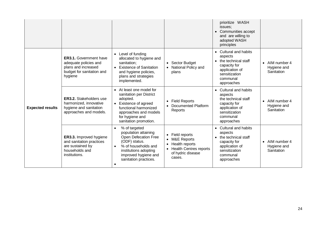|                         |                                                                                                                       |                                                                                                                                                                                                                        |                                                                                                                                                                       | prioritize WASH<br>issues:<br>Communities accept<br>and are willing to<br>adopted WASH<br>principles                                                                |                                                        |
|-------------------------|-----------------------------------------------------------------------------------------------------------------------|------------------------------------------------------------------------------------------------------------------------------------------------------------------------------------------------------------------------|-----------------------------------------------------------------------------------------------------------------------------------------------------------------------|---------------------------------------------------------------------------------------------------------------------------------------------------------------------|--------------------------------------------------------|
|                         | <b>ER3.1.</b> Government have<br>adequate policies and<br>plans and increased<br>budget for sanitation and<br>hygiene | • Level of funding<br>allocated to hygiene and<br>sanitation;<br><b>Existence of Sanitation</b><br>and hygiene policies,<br>plans and strategies<br>implemented.                                                       | • Sector Budget<br>National Policy and<br>plans                                                                                                                       | <b>Cultural and habits</b><br>$\bullet$<br>aspects<br>the technical staff<br>$\bullet$<br>capacity for<br>application of<br>sensitization<br>communal<br>approaches | AIM number 4<br>$\bullet$<br>Hygiene and<br>Sanitation |
| <b>Expected results</b> | <b>ER3.2.</b> Stakeholders use<br>harmonized, innovative<br>hygiene and sanitation<br>approaches and models.          | • At least one model for<br>sanitation per District<br>adopted.<br>• Existence of agreed<br>functional harmonized<br>approaches and models<br>for hygiene and<br>sanitation promotion.                                 | <b>Field Reports</b><br>$\bullet$<br>Documented Platform<br>Reports                                                                                                   | Cultural and habits<br>$\bullet$<br>aspects<br>the technical staff<br>capacity for<br>application of<br>sensitization<br>communal<br>approaches                     | AIM number 4<br>$\bullet$<br>Hygiene and<br>Sanitation |
|                         | ER3.3. Improved hygiene<br>and sanitation practices<br>are sustained by<br>households and<br>institutions.            | % of targeted<br>$\bullet$<br>population attaining<br>Open Defecation Free<br>(ODF) status.<br>% of households and<br>$\bullet$<br>institutions adopting<br>improved hygiene and<br>sanitation practices.<br>$\bullet$ | Field reports<br>$\bullet$<br><b>M&amp;E Reports</b><br>$\bullet$<br>Health reports<br>٠<br><b>Health Centres reports</b><br>$\bullet$<br>of hydric disease<br>cases. | <b>Cultural and habits</b><br>aspects<br>the technical staff<br>$\bullet$<br>capacity for<br>application of<br>sensitization<br>communal<br>approaches              | • AIM number 4<br>Hygiene and<br>Sanitation            |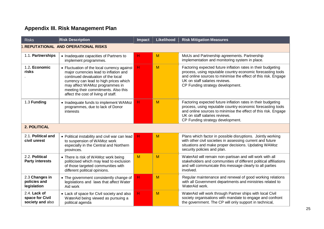# **Appendix III. Risk Management Plan**

<span id="page-24-0"></span>

| <b>Risks</b>                                        | <b>Risk Description</b>                                                                                                                                                                                                                                                                | <b>Impact</b> | Likelihood | <b>Risk Mitigation Measures</b>                                                                                                                                                                                                                                    |
|-----------------------------------------------------|----------------------------------------------------------------------------------------------------------------------------------------------------------------------------------------------------------------------------------------------------------------------------------------|---------------|------------|--------------------------------------------------------------------------------------------------------------------------------------------------------------------------------------------------------------------------------------------------------------------|
|                                                     | <b>.REPUTATIONAL AND OPERATIONAL RISKS</b>                                                                                                                                                                                                                                             |               |            |                                                                                                                                                                                                                                                                    |
| 1.1. Partnerships                                   | • Inadequate capacities of Partners to<br>implement programmes.                                                                                                                                                                                                                        | H             | M          | MoUs and Partnership agreements. Partnership<br>implementation and monitoring system in place.                                                                                                                                                                     |
| 1.2. Economic<br>risks                              | • Fluctuation of the local currency against<br>major currencies lead to inflation and<br>continued devaluation of the local<br>currency can lead to high prices which<br>may affect WAMoz programmes in<br>meeting their commitments. Also this<br>affect the cost of living of staff. | H             | M          | Factoring expected future inflation rates in their budgeting<br>process, using reputable country economic forecasting tools<br>and online sources to minimise the effect of this risk. Engage<br>UK on staff salaries reviews.<br>CP Funding strategy development. |
| 1.3 Funding                                         | • Inadequate funds to implement WAMoz<br>programmes, due to lack of Donor<br>interests                                                                                                                                                                                                 | H             | M          | Factoring expected future inflation rates in their budgeting<br>process, using reputable country economic forecasting tools<br>and online sources to minimise the effect of this risk. Engage<br>UK on staff salaries reviews.<br>CP Funding strategy development. |
| 2. POLITICAL                                        |                                                                                                                                                                                                                                                                                        |               |            |                                                                                                                                                                                                                                                                    |
| 2.1. Political and<br>civil unrest                  | • Political instability and civil war can lead<br>to suspension of WAMoz work<br>especially in the Central and Northern<br>provinces.                                                                                                                                                  | H             | M          | Plans which factor in possible disruptions. Jointly working<br>with other civil societies in assessing current and future<br>situations and make proper decisions. Updating WAMoz<br>security policies and plan.                                                   |
| 2.2. Political<br><b>Party interests</b>            | • There is risk of WAMoz work being<br>politicised which may lead to exclusion<br>of those targeted communities with<br>different political opinions.                                                                                                                                  | M             | M          | WaterAid will remain non-partisan and will work with all<br>stakeholders and communities of different political affiliations<br>and will communicate this message clearly to all parties<br>involved.                                                              |
| 2.3 Changes in<br>policies and<br>legislation       | • The government consistently change of<br>legislations and laws that affect Water<br>Aid work                                                                                                                                                                                         | H             | M          | Regular maintenance and renewal of good working relations<br>with all Government departments and ministries related to<br>WaterAid work.                                                                                                                           |
| 2.4. Lack of<br>space for Civil<br>society and also | • Lack of space for Civil society and also<br>WaterAid being viewed as pursuing a<br>political agenda                                                                                                                                                                                  | H             | M          | WaterAid will work through Partner ships with local Civil<br>society organisations with mandate to engage and confront<br>the government. The CP will only support in technical,                                                                                   |